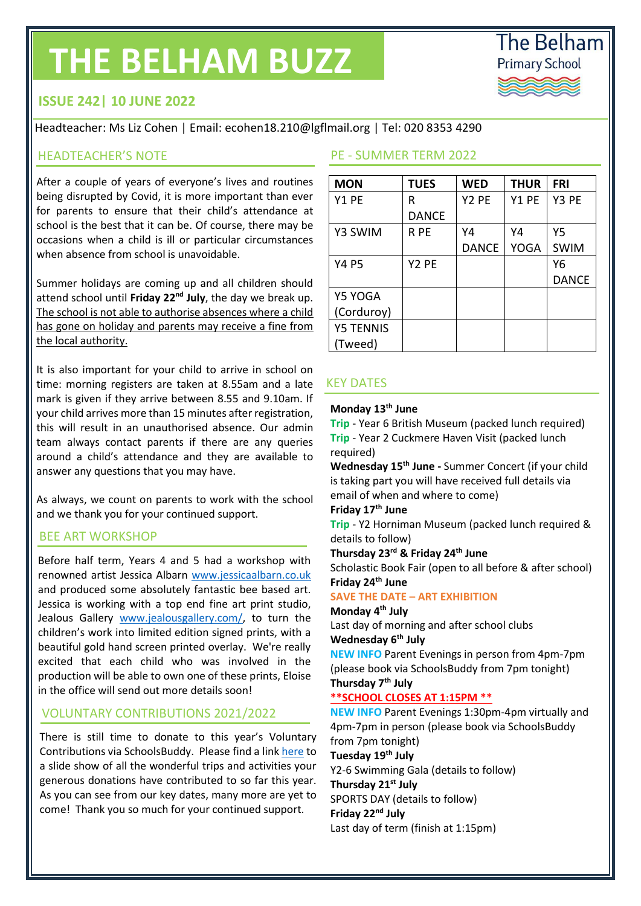# **THE BELHAM BUZZ**



# **ISSUE 242| 10 JUNE 2022**

Headteacher: Ms Liz Cohen | Email: ecohen18.210@lgflmail.org | Tel: 020 8353 4290

### HEADTEACHER'S NOTE

After a couple of years of everyone's lives and routines being disrupted by Covid, it is more important than ever for parents to ensure that their child's attendance at school is the best that it can be. Of course, there may be occasions when a child is ill or particular circumstances when absence from school is unavoidable.

Summer holidays are coming up and all children should attend school until **Friday 22nd July**, the day we break up. The school is not able to authorise absences where a child has gone on holiday and parents may receive a fine from the local authority.

It is also important for your child to arrive in school on time: morning registers are taken at 8.55am and a late mark is given if they arrive between 8.55 and 9.10am. If your child arrives more than 15 minutes after registration, this will result in an unauthorised absence. Our admin team always contact parents if there are any queries around a child's attendance and they are available to answer any questions that you may have.

As always, we count on parents to work with the school and we thank you for your continued support.

### BEE ART WORKSHOP

Before half term, Years 4 and 5 had a workshop with renowned artist Jessica Albarn [www.jessicaalbarn.co.uk](http://www.jessicaalbarn.co.uk/) and produced some absolutely fantastic bee based art. Jessica is working with a top end fine art print studio, Jealous Gallery [www.jealousgallery.com/,](http://www.jealousgallery.com/) to turn the children's work into limited edition signed prints, with a beautiful gold hand screen printed overlay. We're really excited that each child who was involved in the production will be able to own one of these prints, Eloise in the office will send out more details soon!

### VOLUNTARY CONTRIBUTIONS 2021/2022

There is still time to donate to this year's Voluntary Contributions via SchoolsBuddy. Please find a lin[k here](http://www.thebelhamprimaryschool.org.uk/curriculum.html) to a slide show of all the wonderful trips and activities your generous donations have contributed to so far this year. As you can see from our key dates, many more are yet to come! Thank you so much for your continued support.

### PE - SUMMER TERM 2022

| <b>MON</b>       | <b>TUES</b>       | <b>WED</b>        | <b>THUR</b> | <b>FRI</b>   |
|------------------|-------------------|-------------------|-------------|--------------|
| Y1 PE            | R                 | Y <sub>2</sub> PE | Y1 PE       | Y3 PE        |
|                  | <b>DANCE</b>      |                   |             |              |
| Y3 SWIM          | R PE              | Y4                | Y4          | Υ5           |
|                  |                   | <b>DANCE</b>      | <b>YOGA</b> | <b>SWIM</b>  |
| <b>Y4 P5</b>     | Y <sub>2</sub> PE |                   |             | Υ6           |
|                  |                   |                   |             | <b>DANCE</b> |
| Y5 YOGA          |                   |                   |             |              |
| (Corduroy)       |                   |                   |             |              |
| <b>Y5 TENNIS</b> |                   |                   |             |              |
| (Tweed)          |                   |                   |             |              |

### KEY DATES

### **Monday 13th June**

**Trip** - Year 6 British Museum (packed lunch required) **Trip** - Year 2 Cuckmere Haven Visit (packed lunch required)

**Wednesday 15th June -** Summer Concert (if your child is taking part you will have received full details via email of when and where to come)

### **Friday 17th June**

**Trip** - Y2 Horniman Museum (packed lunch required & details to follow)

**Thursday 23rd & Friday 24th June** 

Scholastic Book Fair (open to all before & after school) **Friday 24th June**

### **SAVE THE DATE – ART EXHIBITION**

**Monday 4th July** 

Last day of morning and after school clubs **Wednesday 6th July**

**NEW INFO** Parent Evenings in person from 4pm-7pm (please book via SchoolsBuddy from 7pm tonight) **Thursday 7th July** 

# **\*\*SCHOOL CLOSES AT 1:15PM \*\***

**NEW INFO** Parent Evenings 1:30pm-4pm virtually and 4pm-7pm in person (please book via SchoolsBuddy from 7pm tonight)

**Tuesday 19th July**

Y2-6 Swimming Gala (details to follow)

**Thursday 21st July** SPORTS DAY (details to follow)

**Friday 22nd July**

Last day of term (finish at 1:15pm)